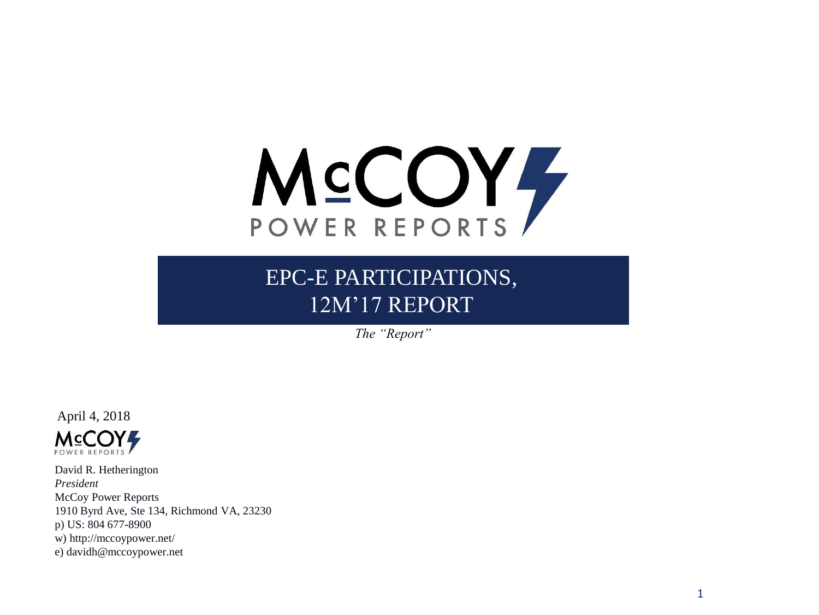

EPC-E PARTICIPATIONS, 12M'17 REPORT

*The "Report"*

April 4, 2018 **MCCOY** POWER REPORTS

David R. Hetherington *President* McCoy Power Reports 1910 Byrd Ave, Ste 134, Richmond VA, 23230 p) US: 804 677-8900 w) http://mccoypower.net/ e) davidh@mccoypower.net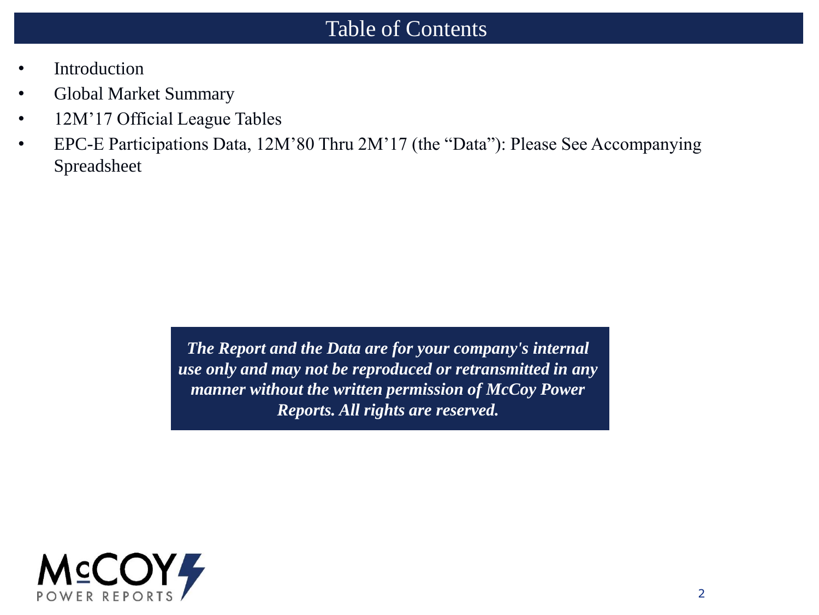#### Table of Contents

- **Introduction**
- Global Market Summary
- 12M'17 Official League Tables
- EPC-E Participations Data, 12M'80 Thru 2M'17 (the "Data"): Please See Accompanying Spreadsheet

*The Report and the Data are for your company's internal use only and may not be reproduced or retransmitted in any manner without the written permission of McCoy Power Reports. All rights are reserved.*

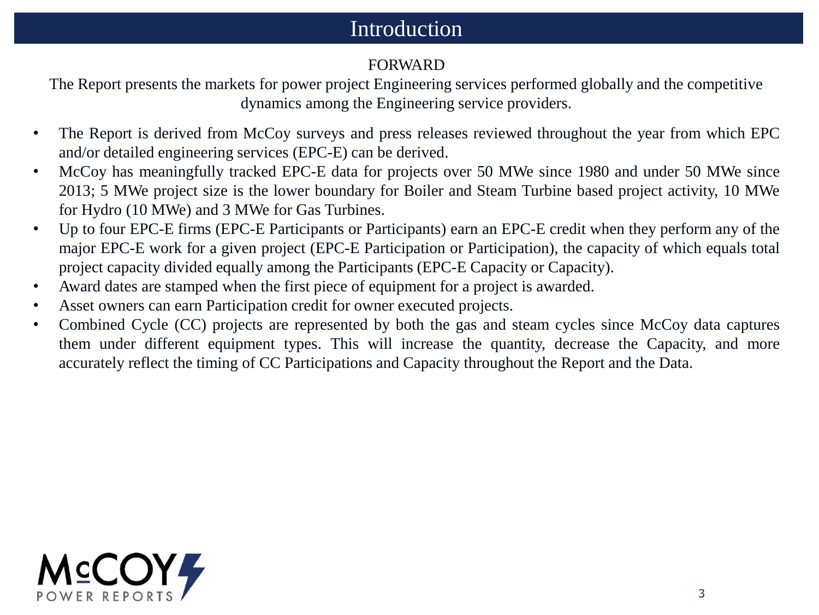#### Introduction

#### FORWARD

The Report presents the markets for power project Engineering services performed globally and the competitive dynamics among the Engineering service providers.

- The Report is derived from McCoy surveys and press releases reviewed throughout the year from which EPC and/or detailed engineering services (EPC-E) can be derived.
- McCoy has meaningfully tracked EPC-E data for projects over 50 MWe since 1980 and under 50 MWe since 2013; 5 MWe project size is the lower boundary for Boiler and Steam Turbine based project activity, 10 MWe for Hydro (10 MWe) and 3 MWe for Gas Turbines.
- Up to four EPC-E firms (EPC-E Participants or Participants) earn an EPC-E credit when they perform any of the major EPC-E work for a given project (EPC-E Participation or Participation), the capacity of which equals total project capacity divided equally among the Participants (EPC-E Capacity or Capacity).
- Award dates are stamped when the first piece of equipment for a project is awarded.
- Asset owners can earn Participation credit for owner executed projects.
- Combined Cycle (CC) projects are represented by both the gas and steam cycles since McCoy data captures them under different equipment types. This will increase the quantity, decrease the Capacity, and more accurately reflect the timing of CC Participations and Capacity throughout the Report and the Data.

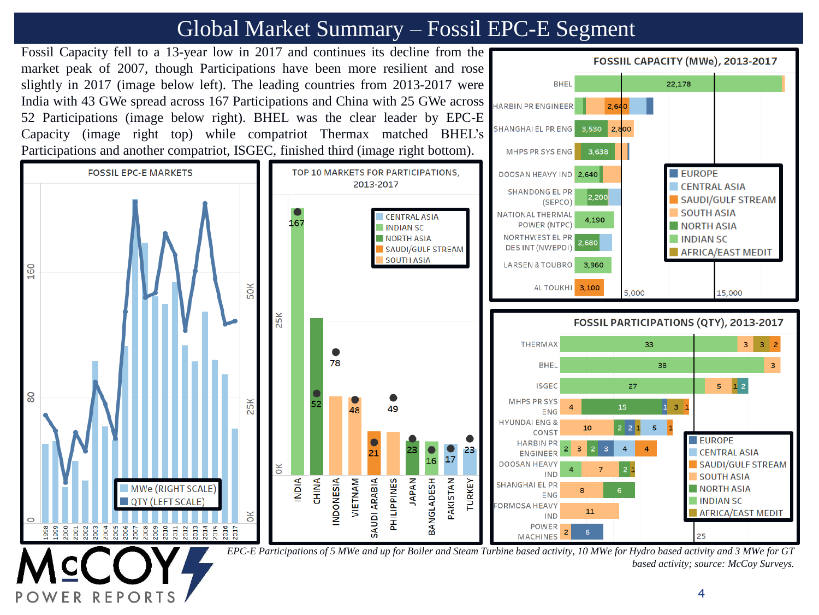# Global Market Summary – Fossil EPC-E Segment



F P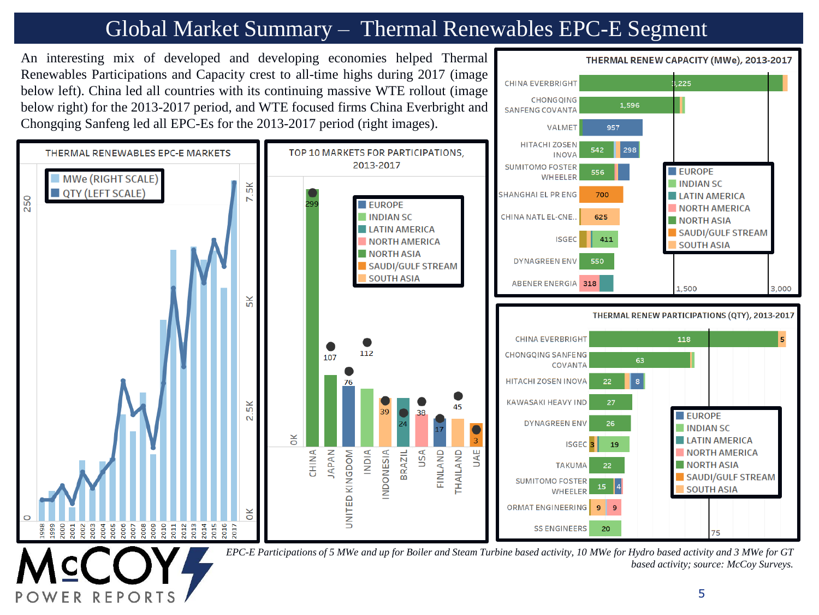# Global Market Summary – Thermal Renewables EPC-E Segment

An interesting mix of developed and developing economies helped Thermal

F P

Renewables Participations and Capacity crest to all-time highs during 2017 (image  $.225$ **CHINA EVERBRIGHT** below left). China led all countries with its continuing massive WTE rollout (image **CHONGQING** below right) for the 2013-2017 period, and WTE focused firms China Everbright and 1,596 **SANFENG COVANTA** Chongqing Sanfeng led all EPC-Es for the 2013-2017 period (right images). VALMET 957 **HITACHI ZOSEN** 542 298 THERMAL RENEWARLES FPC-F MARKETS TOP 10 MARKETS FOR PARTICIPATIONS, **INOVA** 2013-2017 **SUMITOMO FOSTER** EUROPE 556 MWe (RIGHT SCALE) WHEELER **INDIAN SC** 5K QTY (LEFT SCALE) SHANGHAI EL PR ENG 700 **LATIN AMERICA** 250 N **EUROPE** NORTH AMERICA CHINA NATL EL-CNE. **INDIAN SC** 625 NORTH ASIA **LATIN AMERICA** SAUDI/GULF STREAM **ISGEC** 411 **NORTH AMERICA SOUTH ASIA NORTH ASIA DYNAGREEN ENV** 550 SAUDI/GULF STREAM **SOUTH ASIA** ABENER ENERGIA 318 1,500 3,000  $\overline{5}$ K THERMAL RENEW PARTICIPATIONS (QTY), 2013-2017 **CHINA EVERBRIGHT** 118 **CHONGQING SANFENG** 63 **COVANTA HITACHI ZOSEN INOVA** 22 **KAWASAKI HEAVY IND**  $\frac{1}{2}$ **EUROPE**  $\overline{\mathsf{N}}$ **DYNAGREEN ENV** 26 **INDIAN SC**  $\breve{\varepsilon}$ **LATIN AMERICA ISGE** 19 **APAN UAE ANIHC AIQNI BRAZIL** USA FINLAND **NORTH AMERICA** UNITED KINGDOM **NDONESIA THAILAND TAKUMA** NORTH ASIA 22 **SAUDI/GULF STREAM SUMITOMO FOSTER SOUTH ASIA WHEELER** ORMAT ENGINEERING  $\overline{9}$  $\breve{\mathbf{c}}$  $\begin{array}{c} 22 \\ 201 \\ 201 \\ 201 \\ 201 \\ \end{array}$ 2016  $008$ **eoo**  $\overline{a}$ 2017 **SS ENGINEERS** 20

*EPC-E Participations of 5 MWe and up for Boiler and Steam Turbine based activity, 10 MWe for Hydro based activity and 3 MWe for GT based activity; source: McCoy Surveys.*

THERMAL RENEW CAPACITY (MWe), 2013-2017